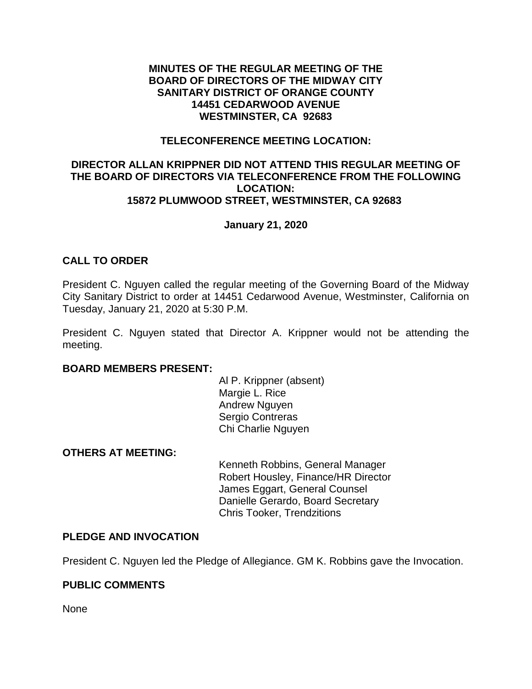#### **MINUTES OF THE REGULAR MEETING OF THE BOARD OF DIRECTORS OF THE MIDWAY CITY SANITARY DISTRICT OF ORANGE COUNTY 14451 CEDARWOOD AVENUE WESTMINSTER, CA 92683**

#### **TELECONFERENCE MEETING LOCATION:**

#### **DIRECTOR ALLAN KRIPPNER DID NOT ATTEND THIS REGULAR MEETING OF THE BOARD OF DIRECTORS VIA TELECONFERENCE FROM THE FOLLOWING LOCATION: 15872 PLUMWOOD STREET, WESTMINSTER, CA 92683**

# **January 21, 2020**

# **CALL TO ORDER**

President C. Nguyen called the regular meeting of the Governing Board of the Midway City Sanitary District to order at 14451 Cedarwood Avenue, Westminster, California on Tuesday, January 21, 2020 at 5:30 P.M.

President C. Nguyen stated that Director A. Krippner would not be attending the meeting.

#### **BOARD MEMBERS PRESENT:**

Al P. Krippner (absent) Margie L. Rice Andrew Nguyen Sergio Contreras Chi Charlie Nguyen

#### **OTHERS AT MEETING:**

Kenneth Robbins, General Manager Robert Housley, Finance/HR Director James Eggart, General Counsel Danielle Gerardo, Board Secretary Chris Tooker, Trendzitions

#### **PLEDGE AND INVOCATION**

President C. Nguyen led the Pledge of Allegiance. GM K. Robbins gave the Invocation.

# **PUBLIC COMMENTS**

None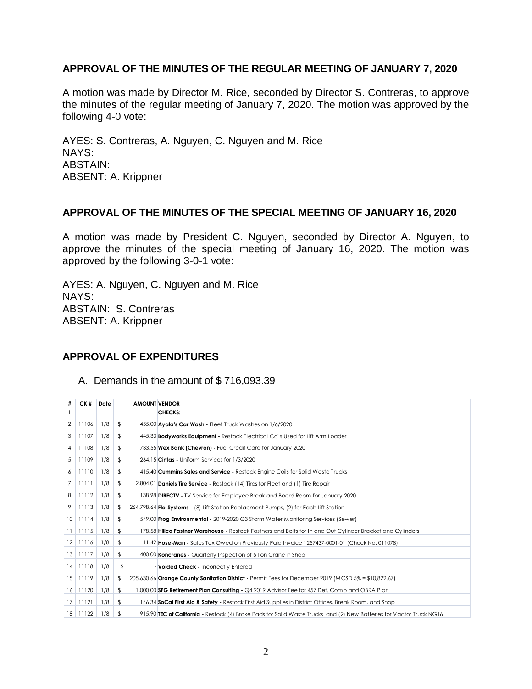# **APPROVAL OF THE MINUTES OF THE REGULAR MEETING OF JANUARY 7, 2020**

A motion was made by Director M. Rice, seconded by Director S. Contreras, to approve the minutes of the regular meeting of January 7, 2020. The motion was approved by the following 4-0 vote:

AYES: S. Contreras, A. Nguyen, C. Nguyen and M. Rice NAYS: ABSTAIN: ABSENT: A. Krippner

#### **APPROVAL OF THE MINUTES OF THE SPECIAL MEETING OF JANUARY 16, 2020**

A motion was made by President C. Nguyen, seconded by Director A. Nguyen, to approve the minutes of the special meeting of January 16, 2020. The motion was approved by the following 3-0-1 vote:

AYES: A. Nguyen, C. Nguyen and M. Rice NAYS: ABSTAIN: S. Contreras ABSENT: A. Krippner

# **APPROVAL OF EXPENDITURES**

#### A. Demands in the amount of \$ 716,093.39

| #            | CK #  | Date |            | <b>AMOUNT VENDOR</b> |                                                                                                                       |
|--------------|-------|------|------------|----------------------|-----------------------------------------------------------------------------------------------------------------------|
|              |       |      |            |                      | <b>CHECKS:</b>                                                                                                        |
| 2            | 11106 | 1/8  | \$         |                      | 455.00 Ayala's Car Wash - Fleet Truck Washes on 1/6/2020                                                              |
| 3            | 11107 | 1/8  | \$         |                      | 445.33 <b>Bodyworks Equipment -</b> Restock Electrical Coils Used for Lift Arm Loader                                 |
| 4            | 11108 | 1/8  | \$         |                      | 733.55 Wex Bank (Chevron) - Fuel Credit Card for January 2020                                                         |
| 5            | 11109 | 1/8  | \$         |                      | 264.15 Cintas - Uniform Services for 1/3/2020                                                                         |
| 6            | 11110 | 1/8  | \$         |                      | 415.40 <b>Cummins Sales and Service</b> - Restock Engine Coils for Solid Waste Trucks                                 |
| 7            | 11111 | 1/8  | $\sqrt{2}$ |                      | 2,804.01 Daniels Tire Service - Restock (14) Tires for Fleet and (1) Tire Repair                                      |
| 8            | 11112 | 1/8  | $\sqrt{2}$ |                      | 138.98 DIRECTV - TV Service for Employee Break and Board Room for January 2020                                        |
| 9            | 11113 | 1/8  | \$         |                      | 264,798.64 <b>Flo-Systems</b> - (8) Lift Station Replacment Pumps, (2) for Each Lift Station                          |
| 10           | 11114 | 1/8  | $\sqrt{2}$ |                      | 549.00 <b>Frog Environmental</b> - 2019-2020 Q3 Storm Water Monitoring Services (Sewer)                               |
| $\mathbf{1}$ | 11115 | 1/8  | \$         |                      | 178.58 Hillco Fastner Warehouse - Restock Fastners and Bolts for In and Out Cylinder Bracket and Cylinders            |
| $12-12$      | 11116 | 1/8  | \$         |                      | 11.42 Hose-Man - Sales Tax Owed on Previously Paid Invoice 1257437-0001-01 (Check No. 011078)                         |
| 13           | 11117 | 1/8  | \$         |                      | 400.00 Koncranes - Quarterly Inspection of 5 Ton Crane in Shop                                                        |
| 14           | 11118 | 1/8  | \$         |                      | - Voided Check - Incorrectly Entered                                                                                  |
| 15           | 11119 | 1/8  | \$         |                      | 205,630.66 Orange County Sanitation District - Permit Fees for December 2019 (MCSD 5% = \$10,822.67)                  |
| 16           | 11120 | 1/8  | \$         |                      | 1,000.00 SFG Retirement Plan Consulting - Q4 2019 Advisor Fee for 457 Def. Comp and OBRA Plan                         |
| 17           | 11121 | 1/8  | \$         |                      | 146.34 <b>SoCal First Aid &amp; Safety</b> - Restock First Aid Supplies in District Offices, Break Room, and Shop     |
| 18           | 11122 | 1/8  | \$         |                      | 915.90 TEC of California - Restock (4) Brake Pads for Solid Waste Trucks, and (2) New Batteries for Vactor Truck NG16 |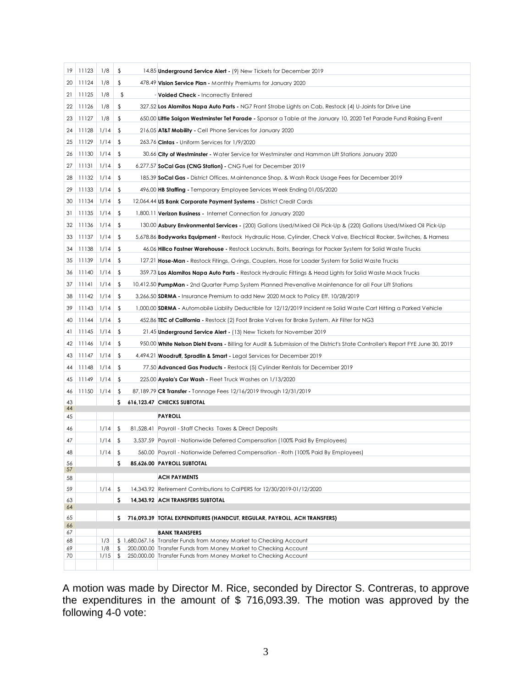| 19       | 11123 | 1/8       | \$  | 14.85 <b>Underground Service Alert -</b> (9) New Tickets for December 2019                                                     |
|----------|-------|-----------|-----|--------------------------------------------------------------------------------------------------------------------------------|
| 20       | 11124 | 1/8       | \$  | 478.49 Vision Service Plan - Monthly Premiums for January 2020                                                                 |
| 21       | 11125 | 1/8       | \$  | - Voided Check - Incorrectly Entered                                                                                           |
| 22       | 11126 | 1/8       | \$  | 327.52 <b>Los Alamitos Napa Auto Parts -</b> NG7 Front Strobe Lights on Cab, Restock (4) U-Joints for Drive Line               |
| 23       | 11127 | 1/8       | \$  | 650.00 Little Saigon Westminster Tet Parade - Sponsor a Table at the January 10, 2020 Tet Parade Fund Raising Event            |
| 24       | 11128 | 1/14      | \$  | 216.05 AT&T Mobility - Cell Phone Services for January 2020                                                                    |
| 25       | 11129 | 1/14      | \$  | 263.76 Cintas - Uniform Services for 1/9/2020                                                                                  |
| 26       | 11130 | 1/14      | \$  | 30.66 City of Westminster - Water Service for Westminster and Hammon Lift Stations January 2020                                |
| 27       | 11131 | 1/14      | \$  | 6,277.57 SoCal Gas (CNG Station) - CNG Fuel for December 2019                                                                  |
| 28       | 11132 | 1/14      | \$  | 185.39 SoCal Gas - District Offices, Maintenance Shop, & Wash Rack Usage Fees for December 2019                                |
| 29       | 11133 | 1/14      | \$  | 496.00 HB Staffing - Temporary Employee Services Week Ending 01/05/2020                                                        |
| 30       | 11134 | 1/14      | \$  | 12,064.44 US Bank Corporate Payment Systems - District Credit Cards                                                            |
| 31       | 11135 | 1/14      | \$  | 1,800.11 Verizon Business - Internet Connection for January 2020                                                               |
| 32       | 11136 | 1/14      | \$  | 130.00 Asbury Environmental Services - (200) Gallons Used/Mixed Oil Pick-Up & (220) Gallons Used/Mixed Oil Pick-Up             |
| 33       | 11137 | 1/14      | \$  | 5,678.86 <b>Bodyworks Equipment -</b> Restock Hydraulic Hose, Cylinder, Check Valve, Electrical Rocker, Switches, & Harness    |
| 34       | 11138 | 1/14      | \$  | 46.06 <b>Hillco Fastner Warehouse</b> - Restock Locknuts, Bolts, Bearings for Packer System for Solid Waste Trucks             |
| 35       | 11139 | 1/14      | \$  | 127.21 Hose-Man - Restock Fitings, O-rings, Couplers, Hose for Loader System for Solid Waste Trucks                            |
| 36       | 11140 | 1/14      | \$  | 359.73 Los Alamitos Napa Auto Parts - Restock Hydraulic Fittings & Head Lights for Solid Waste Mack Trucks                     |
| 37       | 11141 | 1/14      | \$  | 10,412.50 <b>PumpMan</b> - 2nd Quarter Pump System Planned Prevenative Maintenance for all Four Lift Stations                  |
| 38       | 11142 | 1/14      | \$  | 3,266.50 SDRMA - Insurance Premium to add New 2020 Mack to Policy Eff. 10/28/2019                                              |
| 39       | 11143 | 1/14      | \$  | 1,000.00 SDRMA - Automobile Liablity Deductible for 12/12/2019 Incident re Solid Waste Cart Hitting a Parked Vehicle           |
| 40       | 11144 | 1/14      | \$  | 452.86 <b>TEC of California</b> - Restock (2) Foot Brake Valves for Brake System, Air Filter for NG3                           |
| 41       | 11145 | 1/14      | \$  | 21.45 <b>Underground Service Alert</b> - (13) New Tickets for November 2019                                                    |
| 42       | 11146 | 1/14      | \$  | 950.00 White Nelson Diehl Evans - Billing for Audit & Submission of the District's State Controller's Report FYE June 30, 2019 |
| 43       | 11147 | 1/14      | \$  | 4,494.21 Woodruff, Spradlin & Smart - Legal Services for December 2019                                                         |
| 44       | 11148 | 1/14      | \$  | 77.50 Advanced Gas Products - Restock (5) Cylinder Rentals for December 2019                                                   |
| 45       | 11149 | 1/14      | \$  | 225.00 Ayala's Car Wash - Fleet Truck Washes on 1/13/2020                                                                      |
| 46       | 11150 | 1/14      | \$  | 87,189.79 CR Transfer - Tonnage Fees 12/16/2019 through 12/31/2019                                                             |
| 43<br>44 |       |           | s   | 616,123.47 CHECKS SUBTOTAL                                                                                                     |
| 45       |       |           |     | <b>PAYROLL</b>                                                                                                                 |
| 46       |       | 1/14      | \$  | 81,528.41 Payroll - Staff Checks Taxes & Direct Deposits                                                                       |
| 47       |       | $1/14$ \$ |     | 3,537.59 Payroll - Nationwide Deferred Compensation (100% Paid By Employees)                                                   |
| 48       |       | $1/14$ \$ |     | 560.00 Payroll - Nationwide Deferred Compensation - Roth (100% Paid By Employees)                                              |
| 56<br>57 |       |           | \$. | 85,626.00 PAYROLL SUBTOTAL                                                                                                     |
| 58       |       |           |     | <b>ACH PAYMENTS</b>                                                                                                            |
| 59       |       | $1/14$ \$ |     | 14,343.92 Retirement Contributions to CalPERS for 12/30/2019-01/12/2020                                                        |
| 63       |       |           | \$  | 14,343.92 ACH TRANSFERS SUBTOTAL                                                                                               |
| 64<br>65 |       |           | \$. | 716,093.39 TOTAL EXPENDITURES (HANDCUT, REGULAR, PAYROLL, ACH TRANSFERS)                                                       |
| 66       |       |           |     |                                                                                                                                |
| 67<br>68 |       | 1/3       |     | <b>BANK TRANSFERS</b><br>\$1,680,067.16 Transfer Funds from Money Market to Checking Account                                   |
| 69       |       | 1/8       | \$  | 200,000.00 Transfer Funds from Money Market to Checking Account                                                                |
| 70       |       | $1/15$ \$ |     | 250,000.00 Transfer Funds from Money Market to Checking Account                                                                |
|          |       |           |     |                                                                                                                                |

A motion was made by Director M. Rice, seconded by Director S. Contreras, to approve the expenditures in the amount of \$ 716,093.39. The motion was approved by the following 4-0 vote: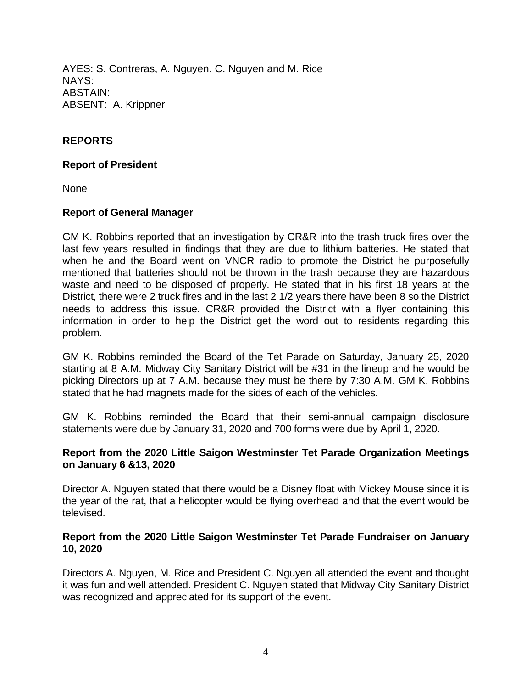AYES: S. Contreras, A. Nguyen, C. Nguyen and M. Rice NAYS: ABSTAIN: ABSENT: A. Krippner

# **REPORTS**

#### **Report of President**

None

# **Report of General Manager**

GM K. Robbins reported that an investigation by CR&R into the trash truck fires over the last few years resulted in findings that they are due to lithium batteries. He stated that when he and the Board went on VNCR radio to promote the District he purposefully mentioned that batteries should not be thrown in the trash because they are hazardous waste and need to be disposed of properly. He stated that in his first 18 years at the District, there were 2 truck fires and in the last 2 1/2 years there have been 8 so the District needs to address this issue. CR&R provided the District with a flyer containing this information in order to help the District get the word out to residents regarding this problem.

GM K. Robbins reminded the Board of the Tet Parade on Saturday, January 25, 2020 starting at 8 A.M. Midway City Sanitary District will be #31 in the lineup and he would be picking Directors up at 7 A.M. because they must be there by 7:30 A.M. GM K. Robbins stated that he had magnets made for the sides of each of the vehicles.

GM K. Robbins reminded the Board that their semi-annual campaign disclosure statements were due by January 31, 2020 and 700 forms were due by April 1, 2020.

#### **Report from the 2020 Little Saigon Westminster Tet Parade Organization Meetings on January 6 &13, 2020**

Director A. Nguyen stated that there would be a Disney float with Mickey Mouse since it is the year of the rat, that a helicopter would be flying overhead and that the event would be televised.

#### **Report from the 2020 Little Saigon Westminster Tet Parade Fundraiser on January 10, 2020**

Directors A. Nguyen, M. Rice and President C. Nguyen all attended the event and thought it was fun and well attended. President C. Nguyen stated that Midway City Sanitary District was recognized and appreciated for its support of the event.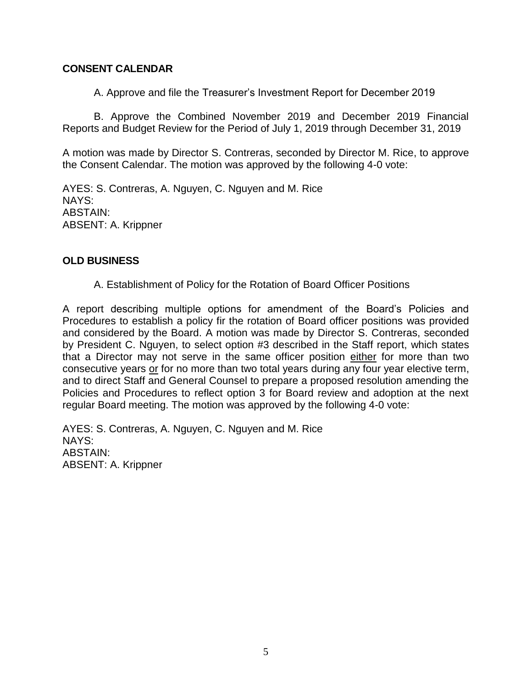# **CONSENT CALENDAR**

A. Approve and file the Treasurer's Investment Report for December 2019

B. Approve the Combined November 2019 and December 2019 Financial Reports and Budget Review for the Period of July 1, 2019 through December 31, 2019

A motion was made by Director S. Contreras, seconded by Director M. Rice, to approve the Consent Calendar. The motion was approved by the following 4-0 vote:

AYES: S. Contreras, A. Nguyen, C. Nguyen and M. Rice NAYS: ABSTAIN: ABSENT: A. Krippner

#### **OLD BUSINESS**

A. Establishment of Policy for the Rotation of Board Officer Positions

A report describing multiple options for amendment of the Board's Policies and Procedures to establish a policy fir the rotation of Board officer positions was provided and considered by the Board. A motion was made by Director S. Contreras, seconded by President C. Nguyen, to select option #3 described in the Staff report, which states that a Director may not serve in the same officer position either for more than two consecutive years or for no more than two total years during any four year elective term, and to direct Staff and General Counsel to prepare a proposed resolution amending the Policies and Procedures to reflect option 3 for Board review and adoption at the next regular Board meeting. The motion was approved by the following 4-0 vote:

AYES: S. Contreras, A. Nguyen, C. Nguyen and M. Rice NAYS: ABSTAIN: ABSENT: A. Krippner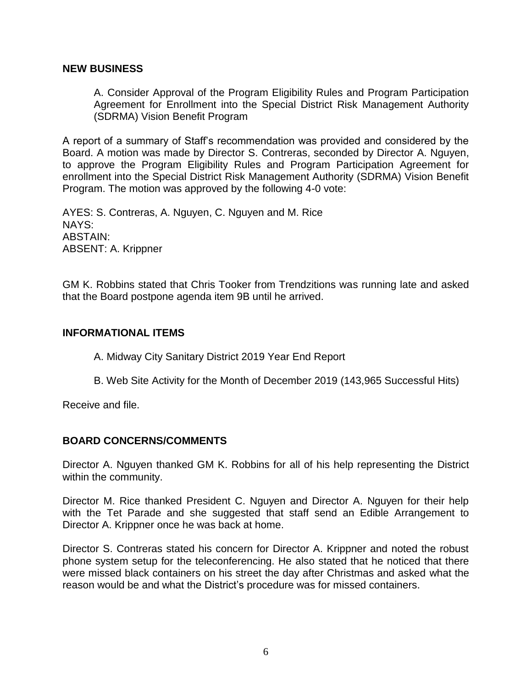#### **NEW BUSINESS**

A. Consider Approval of the Program Eligibility Rules and Program Participation Agreement for Enrollment into the Special District Risk Management Authority (SDRMA) Vision Benefit Program

A report of a summary of Staff's recommendation was provided and considered by the Board. A motion was made by Director S. Contreras, seconded by Director A. Nguyen, to approve the Program Eligibility Rules and Program Participation Agreement for enrollment into the Special District Risk Management Authority (SDRMA) Vision Benefit Program. The motion was approved by the following 4-0 vote:

AYES: S. Contreras, A. Nguyen, C. Nguyen and M. Rice NAYS: ABSTAIN: ABSENT: A. Krippner

GM K. Robbins stated that Chris Tooker from Trendzitions was running late and asked that the Board postpone agenda item 9B until he arrived.

#### **INFORMATIONAL ITEMS**

A. Midway City Sanitary District 2019 Year End Report

B. Web Site Activity for the Month of December 2019 (143,965 Successful Hits)

Receive and file.

# **BOARD CONCERNS/COMMENTS**

Director A. Nguyen thanked GM K. Robbins for all of his help representing the District within the community.

Director M. Rice thanked President C. Nguyen and Director A. Nguyen for their help with the Tet Parade and she suggested that staff send an Edible Arrangement to Director A. Krippner once he was back at home.

Director S. Contreras stated his concern for Director A. Krippner and noted the robust phone system setup for the teleconferencing. He also stated that he noticed that there were missed black containers on his street the day after Christmas and asked what the reason would be and what the District's procedure was for missed containers.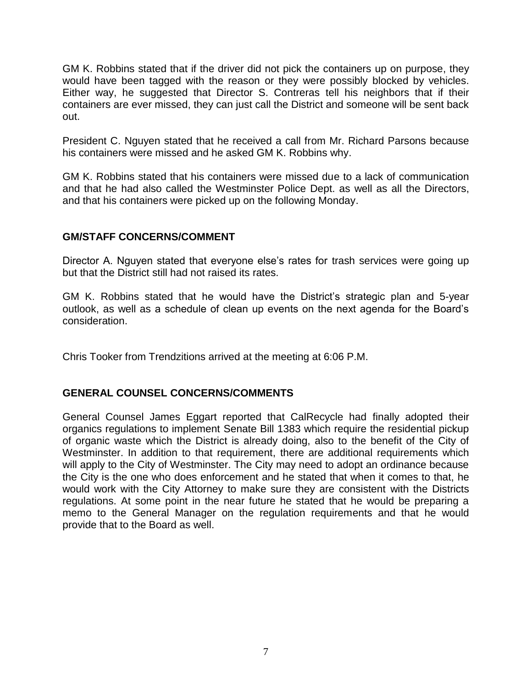GM K. Robbins stated that if the driver did not pick the containers up on purpose, they would have been tagged with the reason or they were possibly blocked by vehicles. Either way, he suggested that Director S. Contreras tell his neighbors that if their containers are ever missed, they can just call the District and someone will be sent back out.

President C. Nguyen stated that he received a call from Mr. Richard Parsons because his containers were missed and he asked GM K. Robbins why.

GM K. Robbins stated that his containers were missed due to a lack of communication and that he had also called the Westminster Police Dept. as well as all the Directors, and that his containers were picked up on the following Monday.

# **GM/STAFF CONCERNS/COMMENT**

Director A. Nguyen stated that everyone else's rates for trash services were going up but that the District still had not raised its rates.

GM K. Robbins stated that he would have the District's strategic plan and 5-year outlook, as well as a schedule of clean up events on the next agenda for the Board's consideration.

Chris Tooker from Trendzitions arrived at the meeting at 6:06 P.M.

# **GENERAL COUNSEL CONCERNS/COMMENTS**

General Counsel James Eggart reported that CalRecycle had finally adopted their organics regulations to implement Senate Bill 1383 which require the residential pickup of organic waste which the District is already doing, also to the benefit of the City of Westminster. In addition to that requirement, there are additional requirements which will apply to the City of Westminster. The City may need to adopt an ordinance because the City is the one who does enforcement and he stated that when it comes to that, he would work with the City Attorney to make sure they are consistent with the Districts regulations. At some point in the near future he stated that he would be preparing a memo to the General Manager on the regulation requirements and that he would provide that to the Board as well.